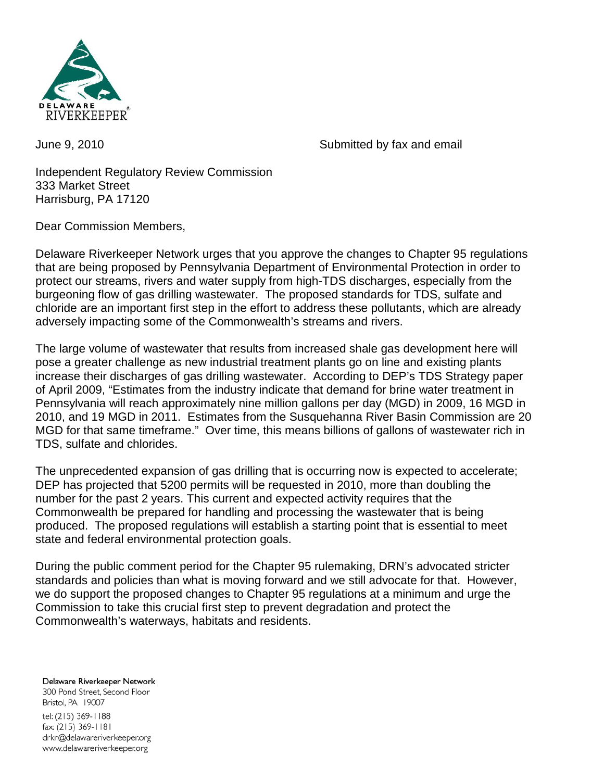

June 9, 2010 Submitted by fax and email

Independent Regulatory Review Commission 333 Market Street Harrisburg, PA 17120

Dear Commission Members,

Delaware Riverkeeper Network urges that you approve the changes to Chapter 95 regulations that are being proposed by Pennsylvania Department of Environmental Protection in order to protect our streams, rivers and water supply from high-TDS discharges, especially from the burgeoning flow of gas drilling wastewater. The proposed standards for TDS, sulfate and chloride are an important first step in the effort to address these pollutants, which are already adversely impacting some of the Commonwealth's streams and rivers.

The large volume of wastewater that results from increased shale gas development here will pose a greater challenge as new industrial treatment plants go on line and existing plants increase their discharges of gas drilling wastewater. According to DEP's TDS Strategy paper of April 2009, "Estimates from the industry indicate that demand for brine water treatment in Pennsylvania will reach approximately nine million gallons per day (MGD) in 2009, 16 MGD in 2010, and 19 MGD in 2011. Estimates from the Susquehanna River Basin Commission are 20 MGD for that same timeframe." Over time, this means billions of gallons of wastewater rich in TDS, sulfate and chlorides.

The unprecedented expansion of gas drilling that is occurring now is expected to accelerate; DEP has projected that 5200 permits will be requested in 2010, more than doubling the number for the past 2 years. This current and expected activity requires that the Commonwealth be prepared for handling and processing the wastewater that is being produced. The proposed regulations will establish a starting point that is essential to meet state and federal environmental protection goals.

During the public comment period for the Chapter 95 rulemaking, DRN's advocated stricter standards and policies than what is moving forward and we still advocate for that. However, we do support the proposed changes to Chapter 95 regulations at a minimum and urge the Commission to take this crucial first step to prevent degradation and protect the Commonwealth's waterways, habitats and residents.

Delaware Riverkeeper Network 300 Pond Street, Second Floor Bristol, PA 19007 tel: (215) 369-1188 fax: (215) 369-1181 drkn@delawareriverkeeper.org www.delawareriverkeeper.org